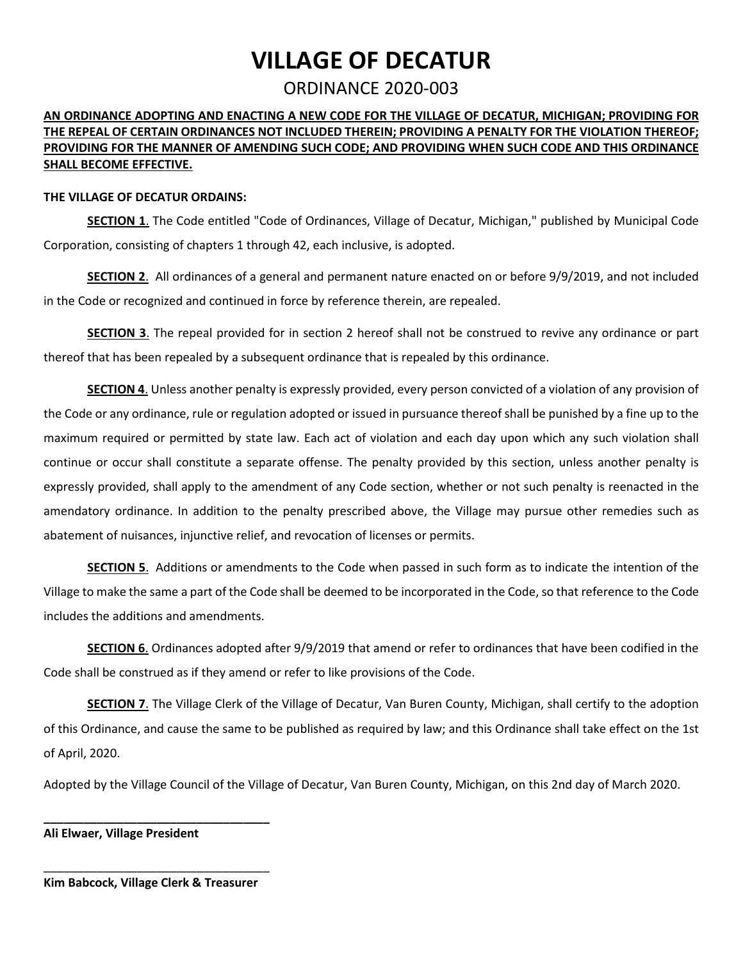# **VILLAGE OF DECATUR**

# ORDINANCE 2020-003

## **AN ORDINANCE ADOPTING AND ENACTING A NEW CODE FOR THE VILLAGE OF DECATUR, MICHIGAN; PROVIDING FOR THE REPEAL OF CERTAIN ORDINANCES NOT INCLUDED THEREIN; PROVIDING A PENALTY FOR THE VIOLATION THEREOF; PROVIDING FOR THE MANNER OF AMENDING SUCH CODE; AND PROVIDING WHEN SUCH CODE AND THIS ORDINANCE SHALL BECOME EFFECTIVE.**

#### **THE VILLAGE OF DECATUR ORDAINS:**

**SECTION 1**. The Code entitled "Code of Ordinances, Village of Decatur, Michigan," published by Municipal Code Corporation, consisting of chapters 1 through 42, each inclusive, is adopted.

 **SECTION 2**. All ordinances of a general and permanent nature enacted on or before 9/9/2019, and not included in the Code or recognized and continued in force by reference therein, are repealed.

 **SECTION 3**. The repeal provided for in section 2 hereof shall not be construed to revive any ordinance or part thereof that has been repealed by a subsequent ordinance that is repealed by this ordinance.

 **SECTION 4**. Unless another penalty is expressly provided, every person convicted of a violation of any provision of the Code or any ordinance, rule or regulation adopted or issued in pursuance thereof shall be punished by a fine up to the maximum required or permitted by state law. Each act of violation and each day upon which any such violation shall amendatory ordinance. In addition to the penalty prescribed above, the Village may pursue other remedies such as abatement of nuisances, injunctive relief, and revocation of licenses or permits. continue or occur shall constitute a separate offense. The penalty provided by this section, unless another penalty is expressly provided, shall apply to the amendment of any Code section, whether or not such penalty is reenacted in the

 **SECTION 5**. Additions or amendments to the Code when passed in such form as to indicate the intention of the Village to make the same a part of the Code shall be deemed to be incorporated in the Code, so that reference to the Code includes the additions and amendments.

 **SECTION 6**. Ordinances adopted after 9/9/2019 that amend or refer to ordinances that have been codified in the Code shall be construed as if they amend or refer to like provisions of the Code.

 of this Ordinance, and cause the same to be published as required by law; and this Ordinance shall take effect on the 1st **SECTION 7**. The Village Clerk of the Village of Decatur, Van Buren County, Michigan, shall certify to the adoption of April, 2020.

Adopted by the Village Council of the Village of Decatur, Van Buren County, Michigan, on this 2nd day of March 2020.

**Ali Elwaer, Village President** 

\_\_\_\_\_\_\_\_\_\_\_\_\_\_\_\_\_\_\_\_\_\_\_\_\_\_\_\_\_\_\_\_\_\_ **Kim Babcock, Village Clerk & Treasurer** 

**\_\_\_\_\_\_\_\_\_\_\_\_\_\_\_\_\_\_\_\_\_\_\_\_\_\_\_\_\_\_\_\_\_\_**